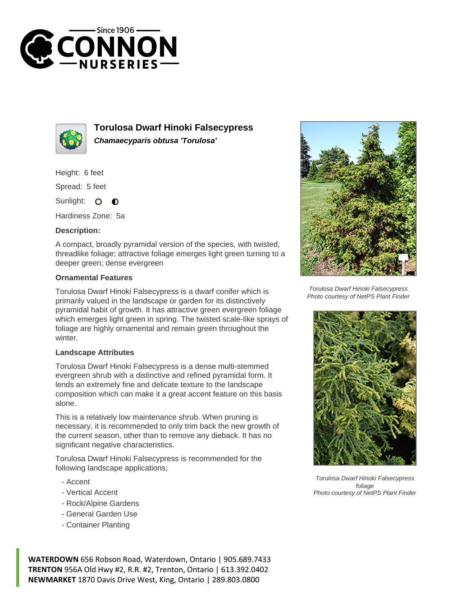



**Torulosa Dwarf Hinoki Falsecypress Chamaecyparis obtusa 'Torulosa'**

Height: 6 feet

Spread: 5 feet

Sunlight:  $\Omega$ 

Hardiness Zone: 5a

## **Description:**

A compact, broadly pyramidal version of the species, with twisted, threadlike foliage; attractive foliage emerges light green turning to a deeper green; dense evergreen

## **Ornamental Features**

Torulosa Dwarf Hinoki Falsecypress is a dwarf conifer which is primarily valued in the landscape or garden for its distinctively pyramidal habit of growth. It has attractive green evergreen foliage which emerges light green in spring. The twisted scale-like sprays of foliage are highly ornamental and remain green throughout the winter.

## **Landscape Attributes**

Torulosa Dwarf Hinoki Falsecypress is a dense multi-stemmed evergreen shrub with a distinctive and refined pyramidal form. It lends an extremely fine and delicate texture to the landscape composition which can make it a great accent feature on this basis alone.

This is a relatively low maintenance shrub. When pruning is necessary, it is recommended to only trim back the new growth of the current season, other than to remove any dieback. It has no significant negative characteristics.

Torulosa Dwarf Hinoki Falsecypress is recommended for the following landscape applications;

- Accent
- Vertical Accent
- Rock/Alpine Gardens
- General Garden Use
- Container Planting

**WATERDOWN** 656 Robson Road, Waterdown, Ontario | 905.689.7433 **TRENTON** 956A Old Hwy #2, R.R. #2, Trenton, Ontario | 613.392.0402 **NEWMARKET** 1870 Davis Drive West, King, Ontario | 289.803.0800



Torulosa Dwarf Hinoki Falsecypress Photo courtesy of NetPS Plant Finder



Torulosa Dwarf Hinoki Falsecypress foliage Photo courtesy of NetPS Plant Finder